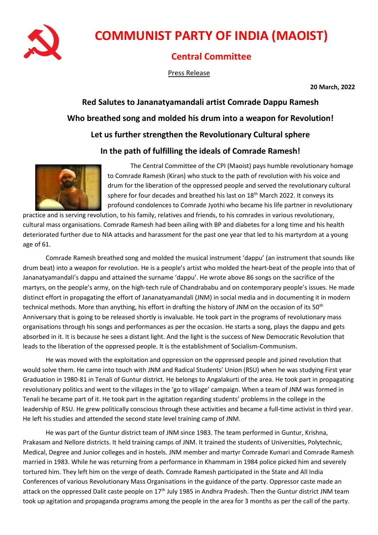

## **COMMUNIST PARTY OF INDIA (MAOIST)**

## **Central Committee**

Press Release

**20 March, 2022**

## **Red Salutes to Jananatyamandali artist Comrade Dappu Ramesh Who breathed song and molded his drum into a weapon for Revolution! Let us further strengthen the Revolutionary Cultural sphere In the path of fulfilling the ideals of Comrade Ramesh!**



The Central Committee of the CPI (Maoist) pays humble revolutionary homage to Comrade Ramesh (Kiran) who stuck to the path of revolution with his voice and drum for the liberation of the oppressed people and served the revolutionary cultural sphere for four decades and breathed his last on 18<sup>th</sup> March 2022. It conveys its profound condolences to Comrade Jyothi who became his life partner in revolutionary

practice and is serving revolution, to his family, relatives and friends, to his comrades in various revolutionary, cultural mass organisations. Comrade Ramesh had been ailing with BP and diabetes for a long time and his health deteriorated further due to NIA attacks and harassment for the past one year that led to his martyrdom at a young age of 61.

Comrade Ramesh breathed song and molded the musical instrument 'dappu' (an instrument that sounds like drum beat) into a weapon for revolution. He is a people's artist who molded the heart-beat of the people into that of Jananatyamandali's dappu and attained the surname 'dappu'. He wrote above 86 songs on the sacrifice of the martyrs, on the people's army, on the high-tech rule of Chandrababu and on contemporary people's issues. He made distinct effort in propagating the effort of Jananatyamandali (JNM) in social media and in documenting it in modern technical methods. More than anything, his effort in drafting the history of JNM on the occasion of its 50<sup>th</sup> Anniversary that is going to be released shortly is invaluable. He took part in the programs of revolutionary mass organisations through his songs and performances as per the occasion. He starts a song, plays the dappu and gets absorbed in it. It is because he sees a distant light. And the light is the success of New Democratic Revolution that leads to the liberation of the oppressed people. It is the establishment of Socialism-Communism.

He was moved with the exploitation and oppression on the oppressed people and joined revolution that would solve them. He came into touch with JNM and Radical Students' Union (RSU) when he was studying First year Graduation in 1980-81 in Tenali of Guntur district. He belongs to Angalakurti of the area. He took part in propagating revolutionary politics and went to the villages in the 'go to village' campaign. When a team of JNM was formed in Tenali he became part of it. He took part in the agitation regarding students' problems in the college in the leadership of RSU. He grew politically conscious through these activities and became a full-time activist in third year. He left his studies and attended the second state level training camp of JNM.

He was part of the Guntur district team of JNM since 1983. The team performed in Guntur, Krishna, Prakasam and Nellore districts. It held training camps of JNM. It trained the students of Universities, Polytechnic, Medical, Degree and Junior colleges and in hostels. JNM member and martyr Comrade Kumari and Comrade Ramesh married in 1983. While he was returning from a performance in Khammam in 1984 police picked him and severely tortured him. They left him on the verge of death. Comrade Ramesh participated in the State and All India Conferences of various Revolutionary Mass Organisations in the guidance of the party. Oppressor caste made an attack on the oppressed Dalit caste people on 17<sup>th</sup> July 1985 in Andhra Pradesh. Then the Guntur district JNM team took up agitation and propaganda programs among the people in the area for 3 months as per the call of the party.